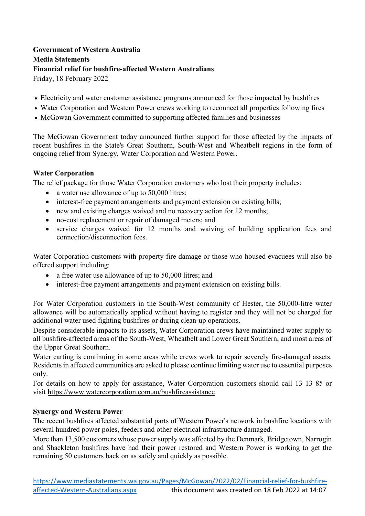## **Government of Western Australia Media Statements Financial relief for bushfire-affected Western Australians** Friday, 18 February 2022

• Electricity and water customer assistance programs announced for those impacted by bushfires

- Water Corporation and Western Power crews working to reconnect all properties following fires
- McGowan Government committed to supporting affected families and businesses

The McGowan Government today announced further support for those affected by the impacts of recent bushfires in the State's Great Southern, South-West and Wheatbelt regions in the form of ongoing relief from Synergy, Water Corporation and Western Power.

#### **Water Corporation**

The relief package for those Water Corporation customers who lost their property includes:

- a water use allowance of up to 50,000 litres;
- interest-free payment arrangements and payment extension on existing bills;
- new and existing charges waived and no recovery action for 12 months;
- no-cost replacement or repair of damaged meters; and
- service charges waived for 12 months and waiving of building application fees and connection/disconnection fees.

Water Corporation customers with property fire damage or those who housed evacuees will also be offered support including:

- a free water use allowance of up to 50,000 litres; and
- interest-free payment arrangements and payment extension on existing bills.

For Water Corporation customers in the South-West community of Hester, the 50,000-litre water allowance will be automatically applied without having to register and they will not be charged for additional water used fighting bushfires or during clean-up operations.

Despite considerable impacts to its assets, Water Corporation crews have maintained water supply to all bushfire-affected areas of the South-West, Wheatbelt and Lower Great Southern, and most areas of the Upper Great Southern.

Water carting is continuing in some areas while crews work to repair severely fire-damaged assets. Residents in affected communities are asked to please continue limiting water use to essential purposes only.

For details on how to apply for assistance, Water Corporation customers should call 13 13 85 or visit <https://www.watercorporation.com.au/bushfireassistance>

#### **Synergy and Western Power**

The recent bushfires affected substantial parts of Western Power's network in bushfire locations with several hundred power poles, feeders and other electrical infrastructure damaged.

More than 13,500 customers whose power supply was affected by the Denmark, Bridgetown, Narrogin and Shackleton bushfires have had their power restored and Western Power is working to get the remaining 50 customers back on as safely and quickly as possible.